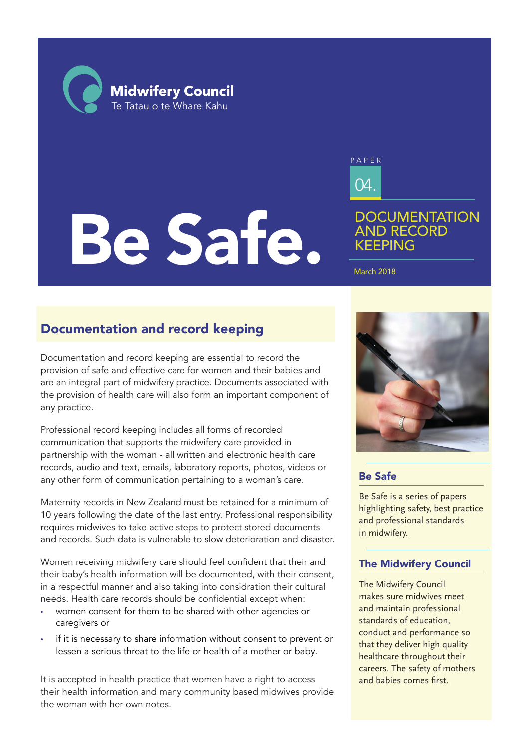**Midwifery Council** Te Tatau o te Whare Kahu

# Be Safe.



# **DOCUMENTATION** AND RECORD KEEPING

March 2018

# Documentation and record keeping

Documentation and record keeping are essential to record the provision of safe and effective care for women and their babies and are an integral part of midwifery practice. Documents associated with the provision of health care will also form an important component of any practice.

Professional record keeping includes all forms of recorded communication that supports the midwifery care provided in partnership with the woman - all written and electronic health care records, audio and text, emails, laboratory reports, photos, videos or any other form of communication pertaining to a woman's care.

Maternity records in New Zealand must be retained for a minimum of 10 years following the date of the last entry. Professional responsibility requires midwives to take active steps to protect stored documents and records. Such data is vulnerable to slow deterioration and disaster.

Women receiving midwifery care should feel confident that their and their baby's health information will be documented, with their consent, in a respectful manner and also taking into considration their cultural needs. Health care records should be confidential except when:

- women consent for them to be shared with other agencies or caregivers or
- if it is necessary to share information without consent to prevent or lessen a serious threat to the life or health of a mother or baby.

It is accepted in health practice that women have a right to access their health information and many community based midwives provide the woman with her own notes.



## Be Safe

Be Safe is a series of papers highlighting safety, best practice and professional standards in midwifery.

## The Midwifery Council

The Midwifery Council makes sure midwives meet and maintain professional standards of education, conduct and performance so that they deliver high quality healthcare throughout their careers. The safety of mothers and babies comes first.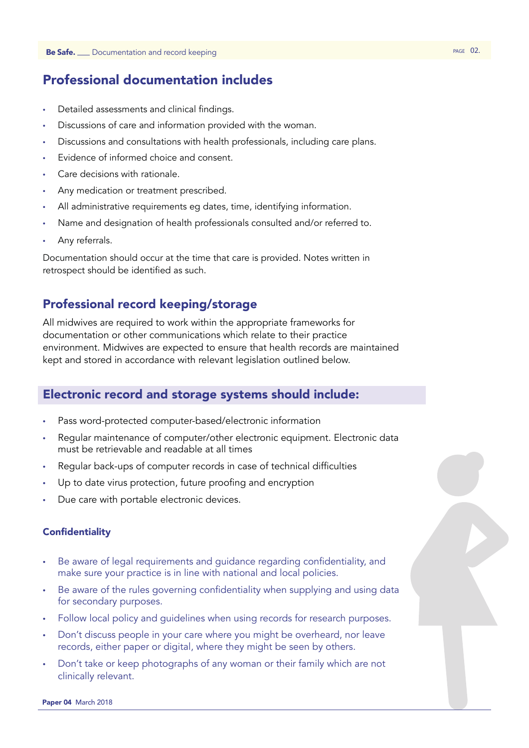# Professional documentation includes

- Detailed assessments and clinical findings.
- Discussions of care and information provided with the woman.
- Discussions and consultations with health professionals, including care plans.
- Evidence of informed choice and consent.
- Care decisions with rationale.
- Any medication or treatment prescribed.
- All administrative requirements eg dates, time, identifying information.
- Name and designation of health professionals consulted and/or referred to.
- Any referrals.

Documentation should occur at the time that care is provided. Notes written in retrospect should be identified as such.

## Professional record keeping/storage

All midwives are required to work within the appropriate frameworks for documentation or other communications which relate to their practice environment. Midwives are expected to ensure that health records are maintained kept and stored in accordance with relevant legislation outlined below.

## Electronic record and storage systems should include:

- Pass word-protected computer-based/electronic information
- Regular maintenance of computer/other electronic equipment. Electronic data must be retrievable and readable at all times
- Regular back-ups of computer records in case of technical difficulties
- Up to date virus protection, future proofing and encryption
- Due care with portable electronic devices.

#### **Confidentiality**

- Be aware of legal requirements and guidance regarding confidentiality, and make sure your practice is in line with national and local policies.
- Be aware of the rules governing confidentiality when supplying and using data for secondary purposes.
- Follow local policy and guidelines when using records for research purposes.
- Don't discuss people in your care where you might be overheard, nor leave records, either paper or digital, where they might be seen by others.
- Don't take or keep photographs of any woman or their family which are not clinically relevant.

Paper 04 March 2018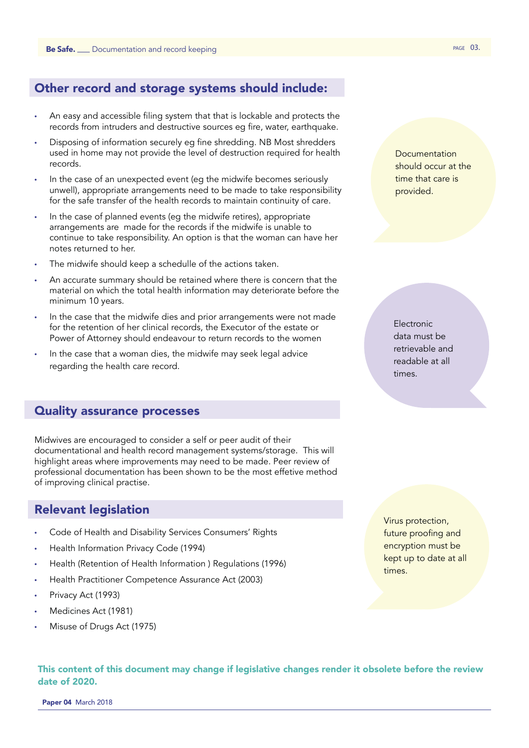## Other record and storage systems should include:

- An easy and accessible filing system that that is lockable and protects the records from intruders and destructive sources eg fire, water, earthquake.
- Disposing of information securely eg fine shredding. NB Most shredders used in home may not provide the level of destruction required for health records.
- In the case of an unexpected event (eg the midwife becomes seriously unwell), appropriate arrangements need to be made to take responsibility for the safe transfer of the health records to maintain continuity of care.
- In the case of planned events (eg the midwife retires), appropriate arrangements are made for the records if the midwife is unable to continue to take responsibility. An option is that the woman can have her notes returned to her.
- The midwife should keep a schedulle of the actions taken.
- An accurate summary should be retained where there is concern that the material on which the total health information may deteriorate before the minimum 10 years.
- In the case that the midwife dies and prior arrangements were not made for the retention of her clinical records, the Executor of the estate or Power of Attorney should endeavour to return records to the women
- In the case that a woman dies, the midwife may seek legal advice regarding the health care record.

#### Quality assurance processes

Midwives are encouraged to consider a self or peer audit of their documentational and health record management systems/storage. This will highlight areas where improvements may need to be made. Peer review of professional documentation has been shown to be the most effetive method of improving clinical practise.

#### Relevant legislation

- Code of Health and Disability Services Consumers' Rights
- Health Information Privacy Code (1994)
- Health (Retention of Health Information ) Regulations (1996)
- Health Practitioner Competence Assurance Act (2003)
- Privacy Act (1993)
- Medicines Act (1981)
- Misuse of Drugs Act (1975)

Documentation should occur at the time that care is provided.

Electronic data must be retrievable and readable at all times.

Virus protection, future proofing and encryption must be kept up to date at all times.

This content of this document may change if legislative changes render it obsolete before the review date of 2020.

Paper 04 March 2018